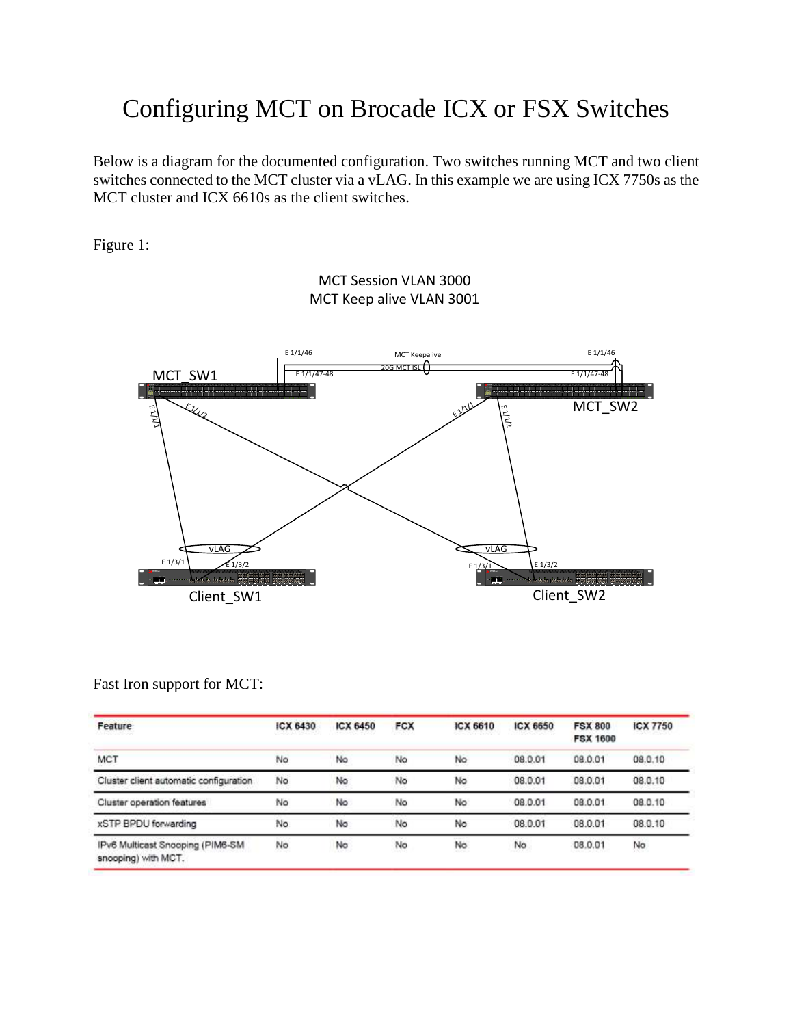## Configuring MCT on Brocade ICX or FSX Switches

Below is a diagram for the documented configuration. Two switches running MCT and two client switches connected to the MCT cluster via a vLAG. In this example we are using ICX 7750s as the MCT cluster and ICX 6610s as the client switches.

Figure 1:

MCT Session VLAN 3000 MCT Keep alive VLAN 3001



Fast Iron support for MCT:

| Feature                                                 | ICX 6430   | <b>ICX 6450</b> | <b>FCX</b> | ICX 6610  | ICX 6650 | <b>FSX 800</b><br><b>FSX 1600</b> | <b>ICX 7750</b> |
|---------------------------------------------------------|------------|-----------------|------------|-----------|----------|-----------------------------------|-----------------|
| <b>MCT</b>                                              | No         | No              | No         | No        | 08.0.01  | 08.0.01                           | 08.0.10         |
| Cluster client automatic configuration                  | No         | No              | No         | No        | 08.0.01  | 08.0.01                           | 08.0.10         |
| Cluster operation features                              | No         | No              | No         | No        | 08.0.01  | 08.0.01                           | 08.0.10         |
| xSTP BPDU forwarding                                    | No         | No              | No         | No        | 08.0.01  | 08.0.01                           | 08.0.10         |
| IPv6 Multicast Snooping (PIM6-SM<br>snooping) with MCT. | No<br>00 M | No              | No         | No<br>--- | No       | 08.0.01                           | No<br>2337      |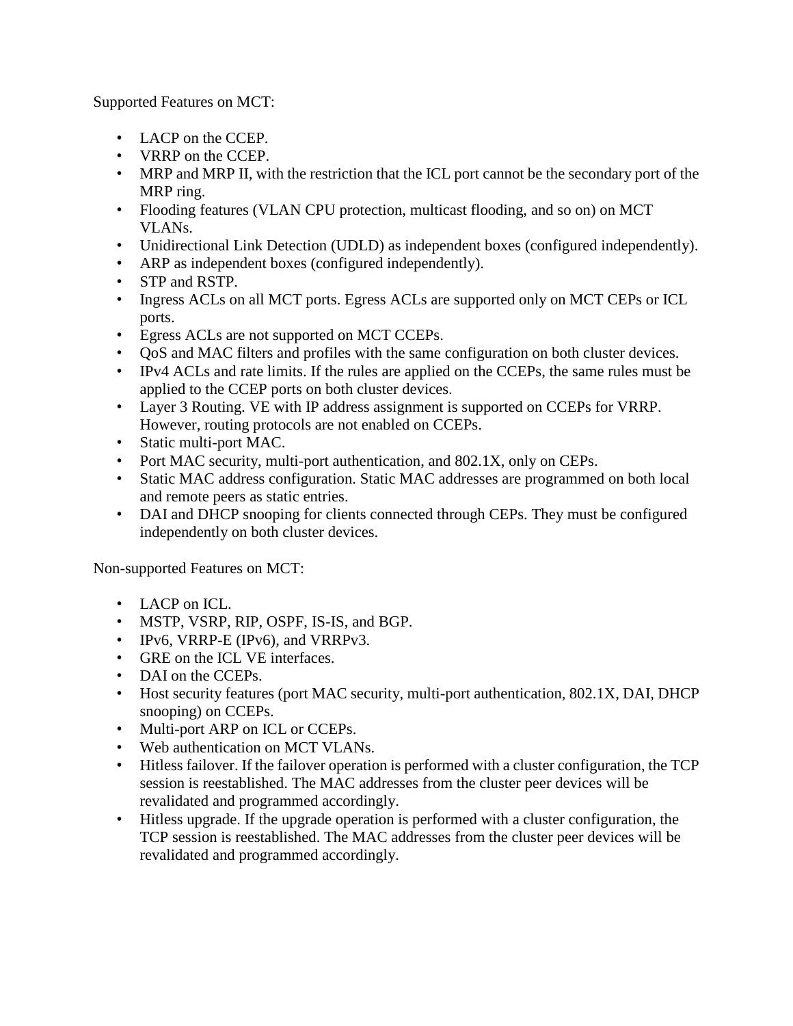Supported Features on MCT:

- LACP on the CCEP.
- VRRP on the CCEP.
- MRP and MRP II, with the restriction that the ICL port cannot be the secondary port of the MRP ring.
- Flooding features (VLAN CPU protection, multicast flooding, and so on) on MCT VLANs.
- Unidirectional Link Detection (UDLD) as independent boxes (configured independently).
- ARP as independent boxes (configured independently).
- STP and RSTP.
- Ingress ACLs on all MCT ports. Egress ACLs are supported only on MCT CEPs or ICL ports.
- Egress ACLs are not supported on MCT CCEPs.
- QoS and MAC filters and profiles with the same configuration on both cluster devices.
- IPv4 ACLs and rate limits. If the rules are applied on the CCEPs, the same rules must be applied to the CCEP ports on both cluster devices.
- Layer 3 Routing. VE with IP address assignment is supported on CCEPs for VRRP. However, routing protocols are not enabled on CCEPs.
- Static multi-port MAC.
- Port MAC security, multi-port authentication, and 802.1X, only on CEPs.
- Static MAC address configuration. Static MAC addresses are programmed on both local and remote peers as static entries.
- DAI and DHCP snooping for clients connected through CEPs. They must be configured independently on both cluster devices.

Non-supported Features on MCT:

- LACP on ICL.
- MSTP, VSRP, RIP, OSPF, IS-IS, and BGP.
- IPv6, VRRP-E (IPv6), and VRRPv3.
- GRE on the ICL VE interfaces.
- DAI on the CCEPs.
- Host security features (port MAC security, multi-port authentication, 802.1X, DAI, DHCP snooping) on CCEPs.
- Multi-port ARP on ICL or CCEPs.
- Web authentication on MCT VLANs.
- Hitless failover. If the failover operation is performed with a cluster configuration, the TCP session is reestablished. The MAC addresses from the cluster peer devices will be revalidated and programmed accordingly.
- Hitless upgrade. If the upgrade operation is performed with a cluster configuration, the TCP session is reestablished. The MAC addresses from the cluster peer devices will be revalidated and programmed accordingly.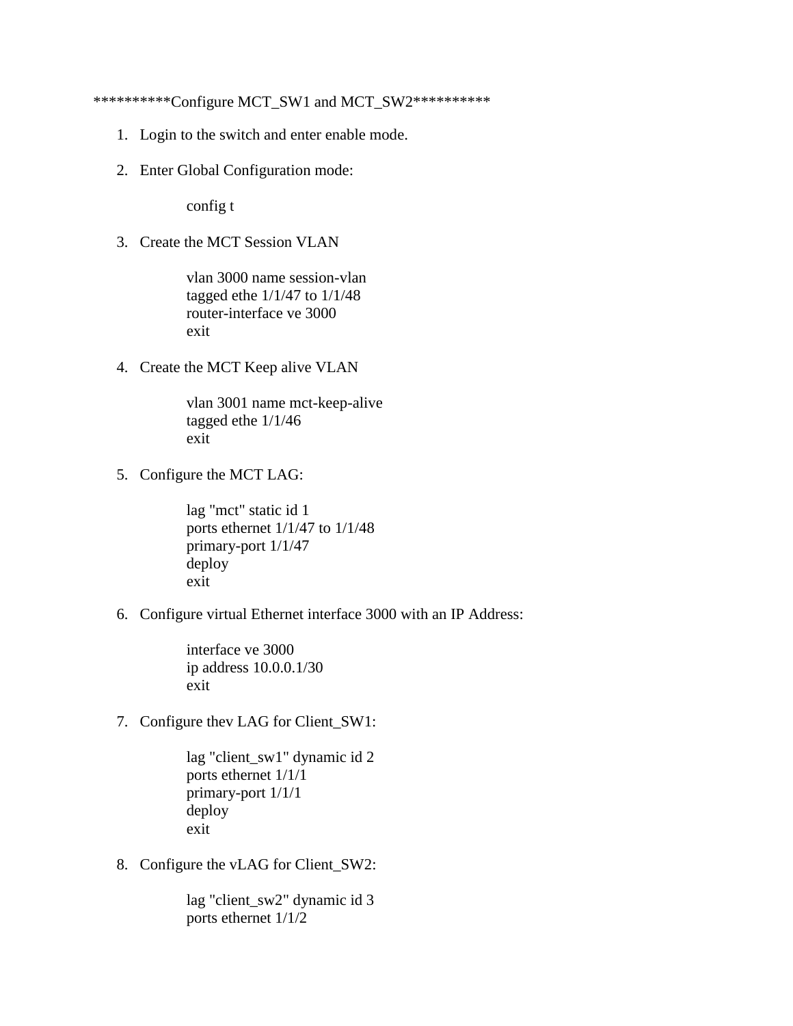\*\*\*\*\*\*\*\*\*\*Configure MCT\_SW1 and MCT\_SW2\*\*\*\*\*\*\*\*\*\*

- 1. Login to the switch and enter enable mode.
- 2. Enter Global Configuration mode:

config t

3. Create the MCT Session VLAN

vlan 3000 name session-vlan tagged ethe  $1/1/47$  to  $1/1/48$ router-interface ve 3000 exit

4. Create the MCT Keep alive VLAN

vlan 3001 name mct-keep-alive tagged ethe 1/1/46 exit

5. Configure the MCT LAG:

lag "mct" static id 1 ports ethernet 1/1/47 to 1/1/48 primary-port 1/1/47 deploy exit

6. Configure virtual Ethernet interface 3000 with an IP Address:

interface ve 3000 ip address 10.0.0.1/30 exit

7. Configure thev LAG for Client\_SW1:

lag "client\_sw1" dynamic id 2 ports ethernet 1/1/1 primary-port 1/1/1 deploy exit

8. Configure the vLAG for Client\_SW2:

lag "client\_sw2" dynamic id 3 ports ethernet 1/1/2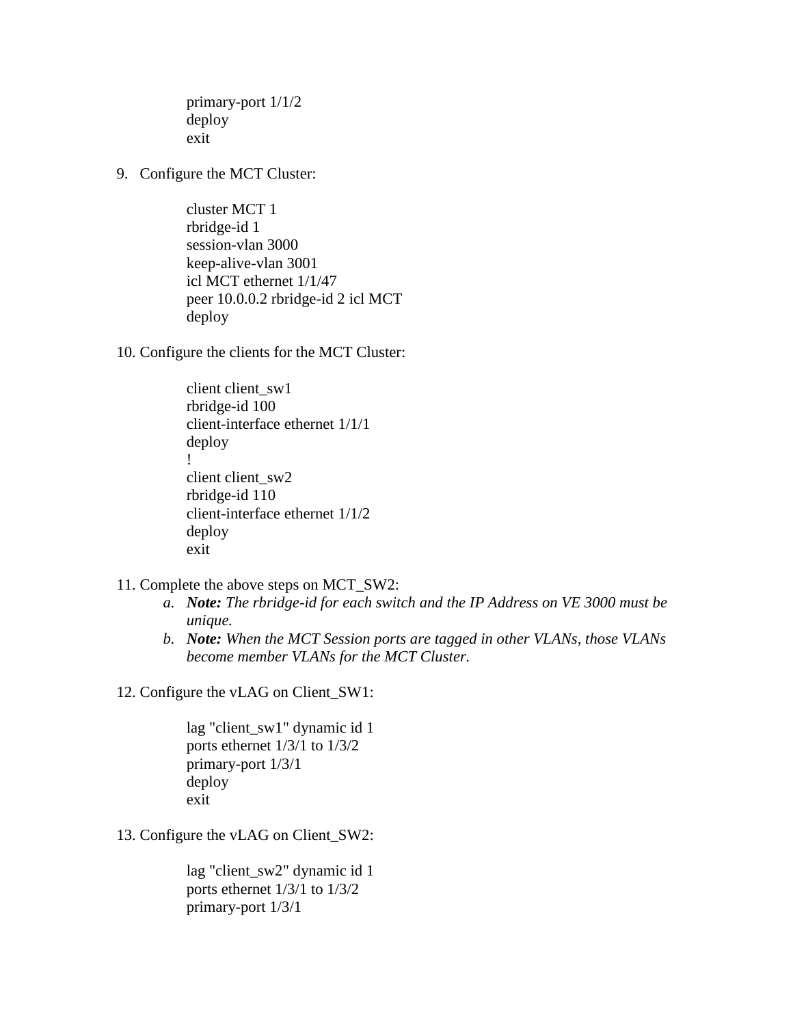primary-port 1/1/2 deploy exit

9. Configure the MCT Cluster:

cluster MCT 1 rbridge-id 1 session-vlan 3000 keep-alive-vlan 3001 icl MCT ethernet 1/1/47 peer 10.0.0.2 rbridge-id 2 icl MCT deploy

10. Configure the clients for the MCT Cluster:

client client sw1 rbridge-id 100 client-interface ethernet 1/1/1 deploy ! client client sw2 rbridge-id 110 client-interface ethernet 1/1/2 deploy exit

- 11. Complete the above steps on MCT\_SW2:
	- *a. Note: The rbridge-id for each switch and the IP Address on VE 3000 must be unique.*
	- *b. Note: When the MCT Session ports are tagged in other VLANs, those VLANs become member VLANs for the MCT Cluster.*

12. Configure the vLAG on Client\_SW1:

lag "client\_sw1" dynamic id 1 ports ethernet 1/3/1 to 1/3/2 primary-port 1/3/1 deploy exit

13. Configure the vLAG on Client\_SW2:

lag "client\_sw2" dynamic id 1 ports ethernet 1/3/1 to 1/3/2 primary-port 1/3/1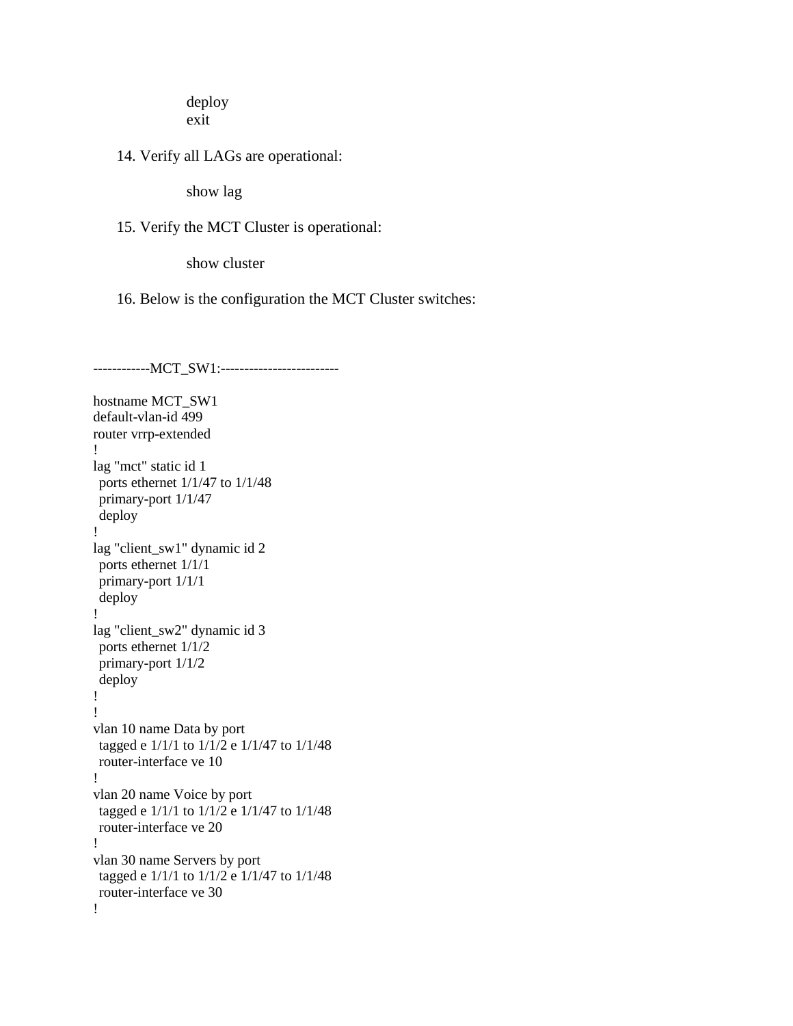deploy exit

14. Verify all LAGs are operational:

show lag

## 15. Verify the MCT Cluster is operational:

show cluster

16. Below is the configuration the MCT Cluster switches:

--------------MCT\_SW1:-----------------------hostname MCT\_SW1 default-vlan-id 499 router vrrp-extended ! lag "mct" static id 1 ports ethernet 1/1/47 to 1/1/48 primary-port 1/1/47 deploy ! lag "client\_sw1" dynamic id 2 ports ethernet 1/1/1 primary-port 1/1/1 deploy ! lag "client\_sw2" dynamic id 3 ports ethernet 1/1/2 primary-port 1/1/2 deploy ! ! vlan 10 name Data by port tagged e 1/1/1 to 1/1/2 e 1/1/47 to 1/1/48 router-interface ve 10 ! vlan 20 name Voice by port tagged e 1/1/1 to 1/1/2 e 1/1/47 to 1/1/48 router-interface ve 20 ! vlan 30 name Servers by port tagged e 1/1/1 to 1/1/2 e 1/1/47 to 1/1/48 router-interface ve 30 !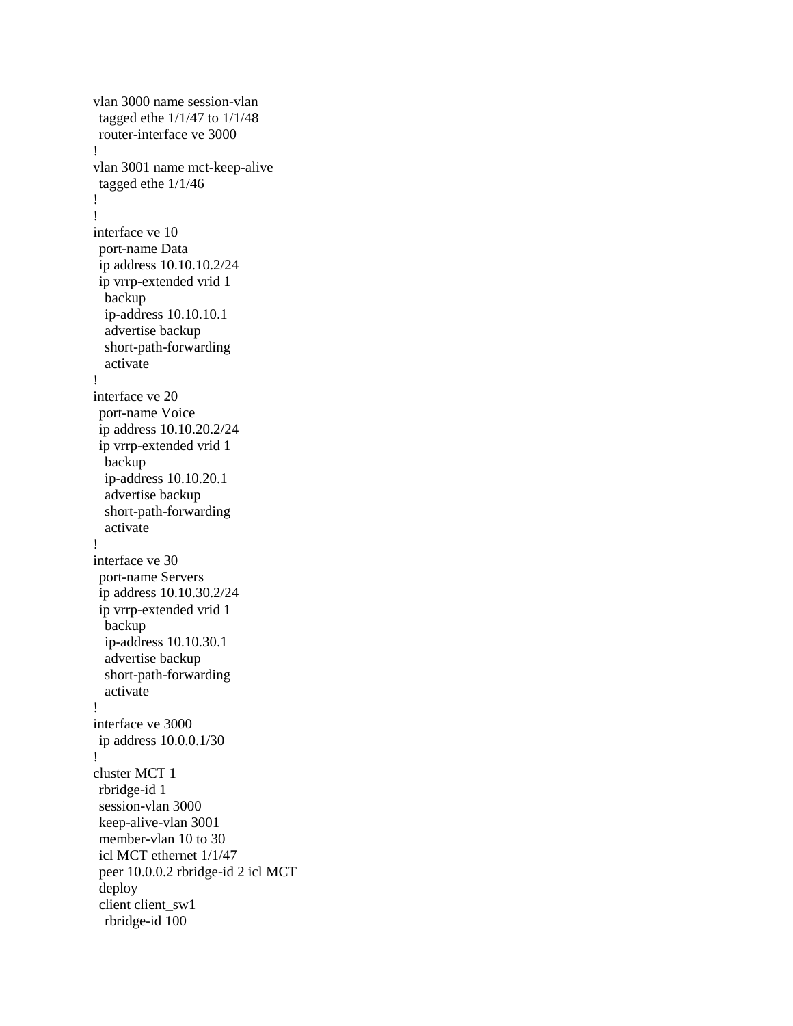```
vlan 3000 name session-vlan 
tagged ethe 1/1/47 to 1/1/48 
router-interface ve 3000
!
vlan 3001 name mct-keep-alive 
tagged ethe 1/1/46
!
!
interface ve 10
port-name Data
ip address 10.10.10.2/24
ip vrrp-extended vrid 1
  backup
  ip-address 10.10.10.1
  advertise backup
  short-path-forwarding
  activate
!
interface ve 20
port-name Voice
ip address 10.10.20.2/24
ip vrrp-extended vrid 1
  backup
  ip-address 10.10.20.1
  advertise backup
  short-path-forwarding
  activate
!
interface ve 30
port-name Servers
ip address 10.10.30.2/24
ip vrrp-extended vrid 1
  backup
  ip-address 10.10.30.1
  advertise backup
  short-path-forwarding
  activate
!
interface ve 3000
ip address 10.0.0.1/30
!
cluster MCT 1 
rbridge-id 1 
session-vlan 3000
keep-alive-vlan 3001
member-vlan 10 to 30
icl MCT ethernet 1/1/47
peer 10.0.0.2 rbridge-id 2 icl MCT
deploy 
client client_sw1 
  rbridge-id 100
```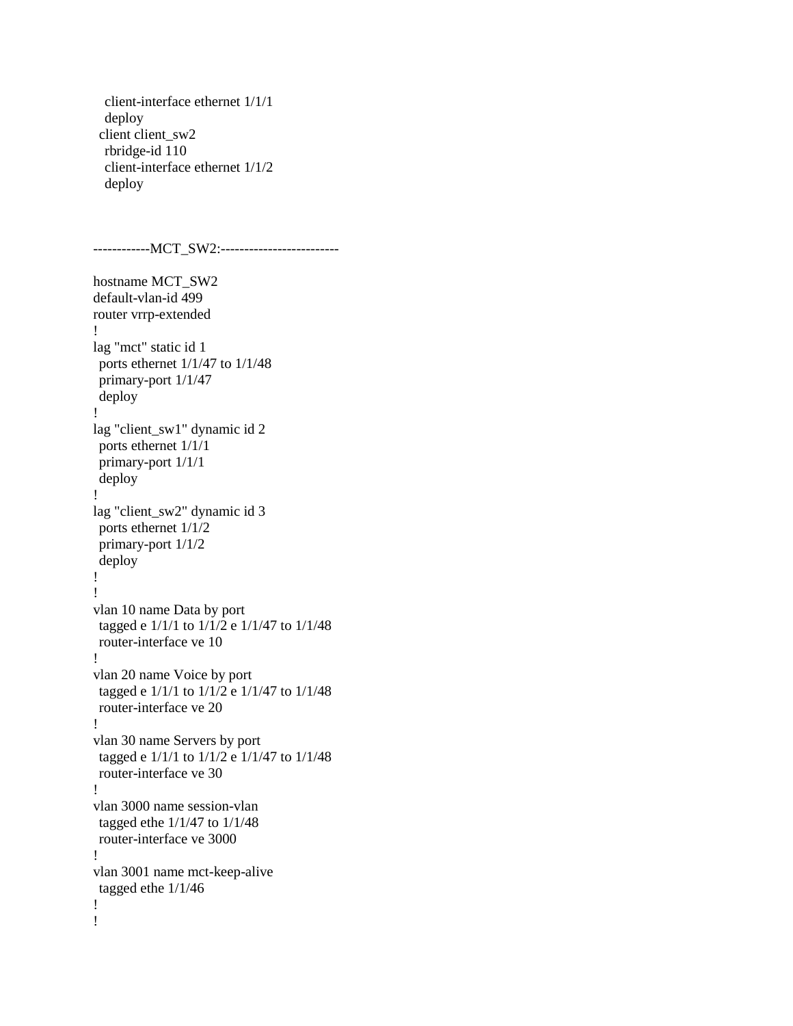```
 client-interface ethernet 1/1/1 
  deploy 
client client_sw2
  rbridge-id 110 
  client-interface ethernet 1/1/2 
  deploy
--------------MCT_SW2:-------------------------
hostname MCT_SW2
default-vlan-id 499
router vrrp-extended
!
lag "mct" static id 1
ports ethernet 1/1/47 to 1/1/48 
primary-port 1/1/47
deploy
!
lag "client_sw1" dynamic id 2
ports ethernet 1/1/1
primary-port 1/1/1
deploy
!
lag "client_sw2" dynamic id 3
ports ethernet 1/1/2 
primary-port 1/1/2
deploy
!
!
vlan 10 name Data by port
tagged e 1/1/1 to 1/1/2 e 1/1/47 to 1/1/48
router-interface ve 10
!
vlan 20 name Voice by port
tagged e 1/1/1 to 1/1/2 e 1/1/47 to 1/1/48
router-interface ve 20
!
vlan 30 name Servers by port
tagged e 1/1/1 to 1/1/2 e 1/1/47 to 1/1/48
router-interface ve 30
!
vlan 3000 name session-vlan 
tagged ethe 1/1/47 to 1/1/48 
router-interface ve 3000
!
vlan 3001 name mct-keep-alive 
tagged ethe 1/1/46
!
!
```